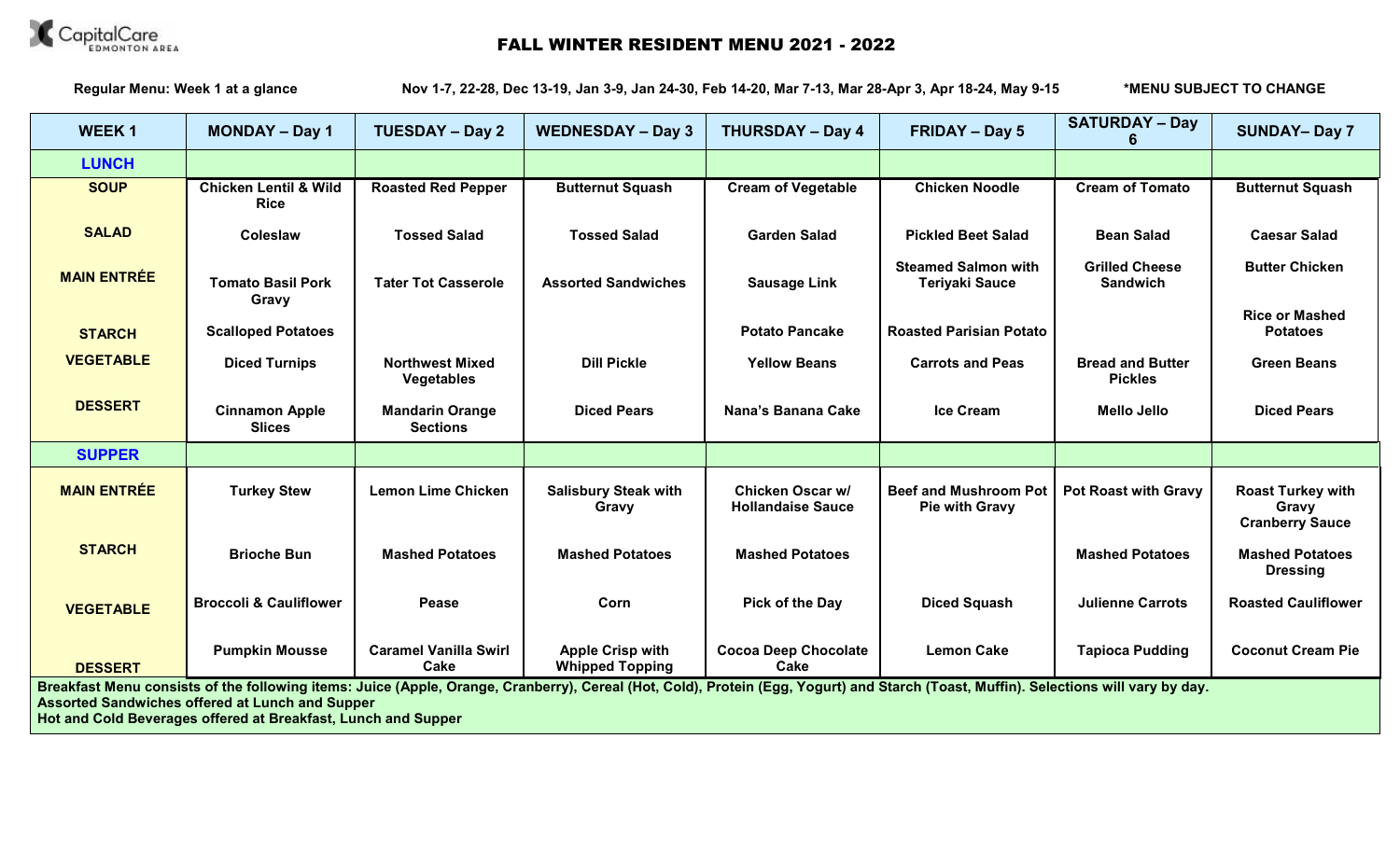

## CapitalCare<br> **FALLWINTER RESIDENT MENU 2021 - 2022**

**Regular Menu: Week 1 at a glance Nov 1-7, 22-28, Dec 13-19, Jan 3-9, Jan 24-30, Feb 14-20, Mar 7-13, Mar 28-Apr 3, Apr 18-24, May 9-15 \*MENU SUBJECT TO CHANGE**

| <b>WEEK1</b>                                                                                                                                                                                                                                                                                                    | <b>MONDAY - Day 1</b>                           | <b>TUESDAY - Day 2</b>                    | <b>WEDNESDAY - Day 3</b>                          | <b>THURSDAY - Day 4</b>                             | <b>FRIDAY - Day 5</b>                               | <b>SATURDAY - Day</b>                     | <b>SUNDAY-Day 7</b>                                         |
|-----------------------------------------------------------------------------------------------------------------------------------------------------------------------------------------------------------------------------------------------------------------------------------------------------------------|-------------------------------------------------|-------------------------------------------|---------------------------------------------------|-----------------------------------------------------|-----------------------------------------------------|-------------------------------------------|-------------------------------------------------------------|
| <b>LUNCH</b>                                                                                                                                                                                                                                                                                                    |                                                 |                                           |                                                   |                                                     |                                                     |                                           |                                                             |
| <b>SOUP</b>                                                                                                                                                                                                                                                                                                     | <b>Chicken Lentil &amp; Wild</b><br><b>Rice</b> | <b>Roasted Red Pepper</b>                 | <b>Butternut Squash</b>                           | <b>Cream of Vegetable</b>                           | <b>Chicken Noodle</b>                               | <b>Cream of Tomato</b>                    | <b>Butternut Squash</b>                                     |
| <b>SALAD</b>                                                                                                                                                                                                                                                                                                    | Coleslaw                                        | <b>Tossed Salad</b>                       | <b>Tossed Salad</b>                               | <b>Garden Salad</b>                                 | <b>Pickled Beet Salad</b>                           | <b>Bean Salad</b>                         | <b>Caesar Salad</b>                                         |
| <b>MAIN ENTRÉE</b>                                                                                                                                                                                                                                                                                              | <b>Tomato Basil Pork</b><br>Gravy               | <b>Tater Tot Casserole</b>                | <b>Assorted Sandwiches</b>                        | <b>Sausage Link</b>                                 | <b>Steamed Salmon with</b><br><b>Teriyaki Sauce</b> | <b>Grilled Cheese</b><br><b>Sandwich</b>  | <b>Butter Chicken</b>                                       |
| <b>STARCH</b>                                                                                                                                                                                                                                                                                                   | <b>Scalloped Potatoes</b>                       |                                           |                                                   | <b>Potato Pancake</b>                               | <b>Roasted Parisian Potato</b>                      |                                           | <b>Rice or Mashed</b><br><b>Potatoes</b>                    |
| <b>VEGETABLE</b>                                                                                                                                                                                                                                                                                                | <b>Diced Turnips</b>                            | <b>Northwest Mixed</b><br>Vegetables      | <b>Dill Pickle</b>                                | <b>Yellow Beans</b>                                 | <b>Carrots and Peas</b>                             | <b>Bread and Butter</b><br><b>Pickles</b> | <b>Green Beans</b>                                          |
| <b>DESSERT</b>                                                                                                                                                                                                                                                                                                  | <b>Cinnamon Apple</b><br><b>Slices</b>          | <b>Mandarin Orange</b><br><b>Sections</b> | <b>Diced Pears</b>                                | Nana's Banana Cake                                  | <b>Ice Cream</b>                                    | <b>Mello Jello</b>                        | <b>Diced Pears</b>                                          |
| <b>SUPPER</b>                                                                                                                                                                                                                                                                                                   |                                                 |                                           |                                                   |                                                     |                                                     |                                           |                                                             |
| <b>MAIN ENTRÉE</b>                                                                                                                                                                                                                                                                                              | <b>Turkey Stew</b>                              | <b>Lemon Lime Chicken</b>                 | <b>Salisbury Steak with</b><br>Gravy              | <b>Chicken Oscar w/</b><br><b>Hollandaise Sauce</b> | <b>Beef and Mushroom Pot</b><br>Pie with Gravy      | <b>Pot Roast with Gravy</b>               | <b>Roast Turkey with</b><br>Gravy<br><b>Cranberry Sauce</b> |
| <b>STARCH</b>                                                                                                                                                                                                                                                                                                   | <b>Brioche Bun</b>                              | <b>Mashed Potatoes</b>                    | <b>Mashed Potatoes</b>                            | <b>Mashed Potatoes</b>                              |                                                     | <b>Mashed Potatoes</b>                    | <b>Mashed Potatoes</b><br><b>Dressing</b>                   |
| <b>VEGETABLE</b>                                                                                                                                                                                                                                                                                                | <b>Broccoli &amp; Cauliflower</b>               | Pease                                     | Corn                                              | Pick of the Day                                     | <b>Diced Squash</b>                                 | <b>Julienne Carrots</b>                   | <b>Roasted Cauliflower</b>                                  |
| <b>DESSERT</b>                                                                                                                                                                                                                                                                                                  | <b>Pumpkin Mousse</b>                           | <b>Caramel Vanilla Swirl</b><br>Cake      | <b>Apple Crisp with</b><br><b>Whipped Topping</b> | <b>Cocoa Deep Chocolate</b><br>Cake                 | <b>Lemon Cake</b>                                   | <b>Tapioca Pudding</b>                    | <b>Coconut Cream Pie</b>                                    |
| Breakfast Menu consists of the following items: Juice (Apple, Orange, Cranberry), Cereal (Hot, Cold), Protein (Egg, Yogurt) and Starch (Toast, Muffin). Selections will vary by day.<br><b>Assorted Sandwiches offered at Lunch and Supper</b><br>Hot and Cold Beverages offered at Breakfast, Lunch and Supper |                                                 |                                           |                                                   |                                                     |                                                     |                                           |                                                             |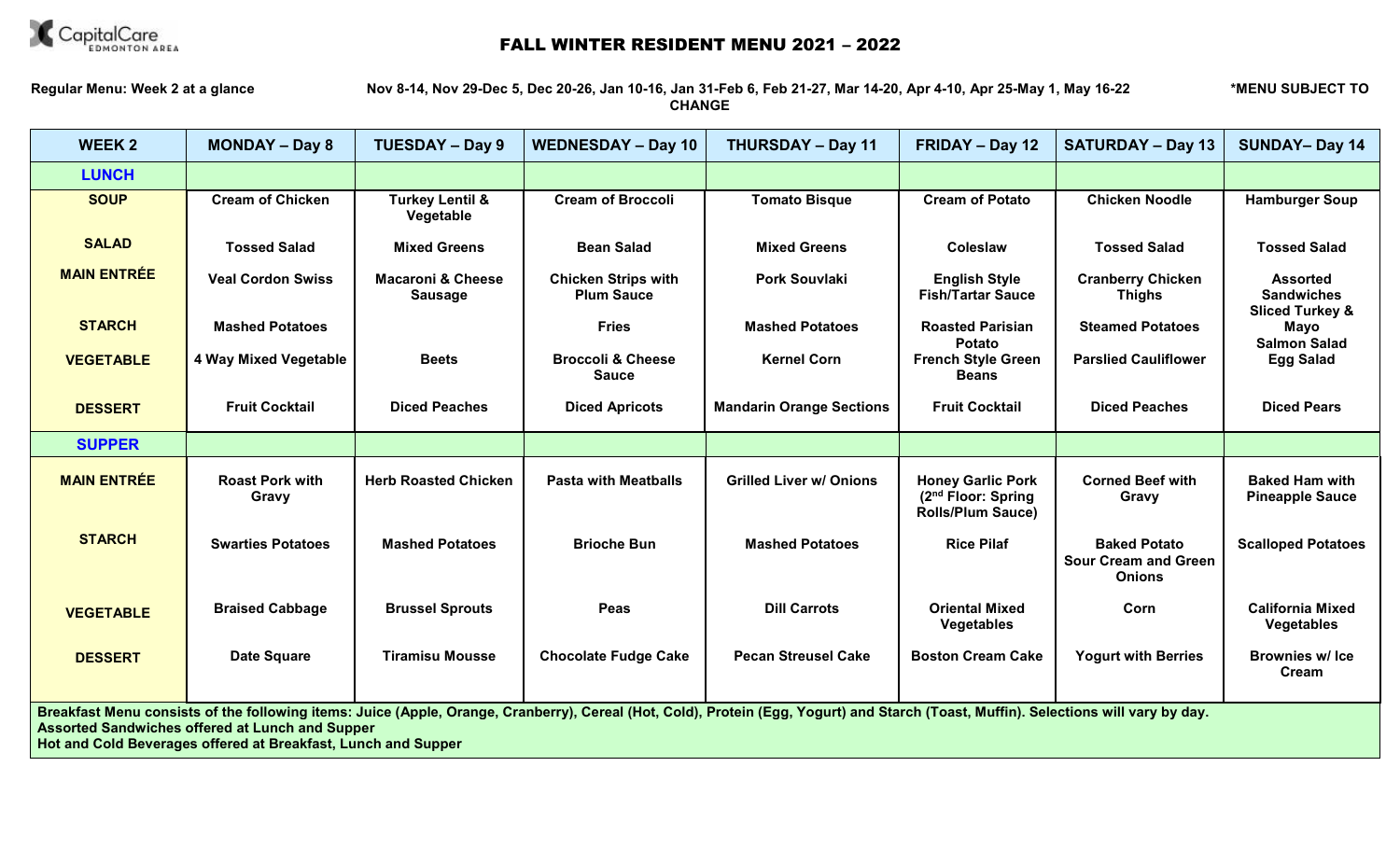

## **CapitalCare**<br> **FALLWINTER RESIDENT MENU 2021 - 2022**

**Regular Menu: Week 2 at a glance Nov 8-14, Nov 29-Dec 5, Dec 20-26, Jan 10-16, Jan 31-Feb 6, Feb 21-27, Mar 14-20, Apr 4-10, Apr 25-May 1, May 16-22 \*MENU SUBJECT TO CHANGE**

| <b>WEEK2</b>                                                                                                                                                                                                                                                                                                    | <b>MONDAY - Day 8</b>           | <b>TUESDAY - Day 9</b>                         | <b>WEDNESDAY - Day 10</b>                       | <b>THURSDAY - Day 11</b>        | FRIDAY - Day 12                                                                        | <b>SATURDAY - Day 13</b>                                            | <b>SUNDAY-Day 14</b>                                               |
|-----------------------------------------------------------------------------------------------------------------------------------------------------------------------------------------------------------------------------------------------------------------------------------------------------------------|---------------------------------|------------------------------------------------|-------------------------------------------------|---------------------------------|----------------------------------------------------------------------------------------|---------------------------------------------------------------------|--------------------------------------------------------------------|
| <b>LUNCH</b>                                                                                                                                                                                                                                                                                                    |                                 |                                                |                                                 |                                 |                                                                                        |                                                                     |                                                                    |
| <b>SOUP</b>                                                                                                                                                                                                                                                                                                     | <b>Cream of Chicken</b>         | <b>Turkey Lentil &amp;</b><br>Vegetable        | <b>Cream of Broccoli</b>                        | <b>Tomato Bisque</b>            | <b>Cream of Potato</b>                                                                 | <b>Chicken Noodle</b>                                               | <b>Hamburger Soup</b>                                              |
| <b>SALAD</b>                                                                                                                                                                                                                                                                                                    | <b>Tossed Salad</b>             | <b>Mixed Greens</b>                            | <b>Bean Salad</b>                               | <b>Mixed Greens</b>             | Coleslaw                                                                               | <b>Tossed Salad</b>                                                 | <b>Tossed Salad</b>                                                |
| <b>MAIN ENTRÉE</b>                                                                                                                                                                                                                                                                                              | <b>Veal Cordon Swiss</b>        | <b>Macaroni &amp; Cheese</b><br><b>Sausage</b> | <b>Chicken Strips with</b><br><b>Plum Sauce</b> | <b>Pork Souvlaki</b>            | <b>English Style</b><br><b>Fish/Tartar Sauce</b>                                       | <b>Cranberry Chicken</b><br><b>Thighs</b>                           | <b>Assorted</b><br><b>Sandwiches</b><br><b>Sliced Turkey &amp;</b> |
| <b>STARCH</b>                                                                                                                                                                                                                                                                                                   | <b>Mashed Potatoes</b>          |                                                | <b>Fries</b>                                    | <b>Mashed Potatoes</b>          | <b>Roasted Parisian</b><br>Potato                                                      | <b>Steamed Potatoes</b>                                             | Mayo<br><b>Salmon Salad</b>                                        |
| <b>VEGETABLE</b>                                                                                                                                                                                                                                                                                                | 4 Way Mixed Vegetable           | <b>Beets</b>                                   | <b>Broccoli &amp; Cheese</b><br><b>Sauce</b>    | <b>Kernel Corn</b>              | <b>French Style Green</b><br><b>Beans</b>                                              | <b>Parslied Cauliflower</b>                                         | <b>Egg Salad</b>                                                   |
| <b>DESSERT</b>                                                                                                                                                                                                                                                                                                  | <b>Fruit Cocktail</b>           | <b>Diced Peaches</b>                           | <b>Diced Apricots</b>                           | <b>Mandarin Orange Sections</b> | <b>Fruit Cocktail</b>                                                                  | <b>Diced Peaches</b>                                                | <b>Diced Pears</b>                                                 |
| <b>SUPPER</b>                                                                                                                                                                                                                                                                                                   |                                 |                                                |                                                 |                                 |                                                                                        |                                                                     |                                                                    |
| <b>MAIN ENTRÉE</b>                                                                                                                                                                                                                                                                                              | <b>Roast Pork with</b><br>Gravy | <b>Herb Roasted Chicken</b>                    | <b>Pasta with Meatballs</b>                     | <b>Grilled Liver w/ Onions</b>  | <b>Honey Garlic Pork</b><br>(2 <sup>nd</sup> Floor: Spring<br><b>Rolls/Plum Sauce)</b> | <b>Corned Beef with</b><br>Gravy                                    | <b>Baked Ham with</b><br><b>Pineapple Sauce</b>                    |
| <b>STARCH</b>                                                                                                                                                                                                                                                                                                   | <b>Swarties Potatoes</b>        | <b>Mashed Potatoes</b>                         | <b>Brioche Bun</b>                              | <b>Mashed Potatoes</b>          | <b>Rice Pilaf</b>                                                                      | <b>Baked Potato</b><br><b>Sour Cream and Green</b><br><b>Onions</b> | <b>Scalloped Potatoes</b>                                          |
| <b>VEGETABLE</b>                                                                                                                                                                                                                                                                                                | <b>Braised Cabbage</b>          | <b>Brussel Sprouts</b>                         | Peas                                            | <b>Dill Carrots</b>             | <b>Oriental Mixed</b><br><b>Vegetables</b>                                             | Corn                                                                | <b>California Mixed</b><br>Vegetables                              |
| <b>DESSERT</b>                                                                                                                                                                                                                                                                                                  | <b>Date Square</b>              | <b>Tiramisu Mousse</b>                         | <b>Chocolate Fudge Cake</b>                     | <b>Pecan Streusel Cake</b>      | <b>Boston Cream Cake</b>                                                               | <b>Yogurt with Berries</b>                                          | <b>Brownies w/ Ice</b><br>Cream                                    |
| Breakfast Menu consists of the following items: Juice (Apple, Orange, Cranberry), Cereal (Hot, Cold), Protein (Egg, Yogurt) and Starch (Toast, Muffin). Selections will vary by day.<br><b>Assorted Sandwiches offered at Lunch and Supper</b><br>Hot and Cold Beverages offered at Breakfast, Lunch and Supper |                                 |                                                |                                                 |                                 |                                                                                        |                                                                     |                                                                    |